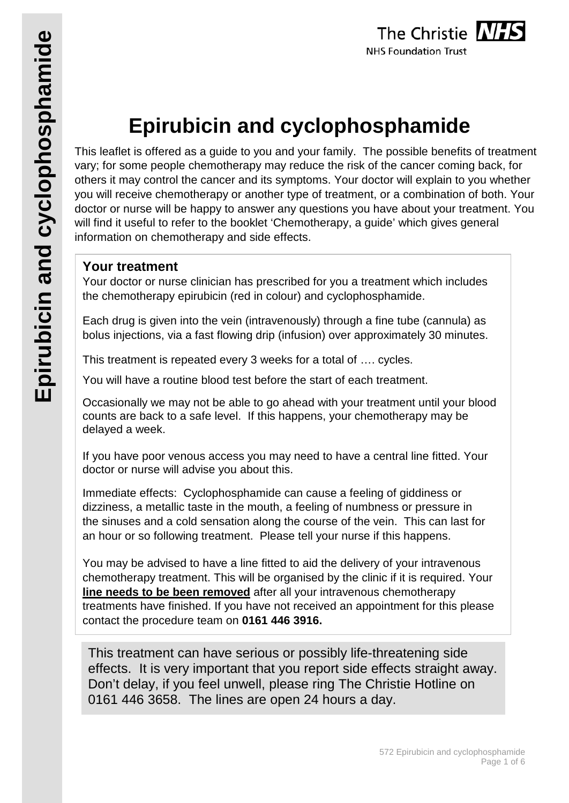# **Epirubicin and cyclophosphamide**

This leaflet is offered as a guide to you and your family. The possible benefits of treatment vary; for some people chemotherapy may reduce the risk of the cancer coming back, for others it may control the cancer and its symptoms. Your doctor will explain to you whether you will receive chemotherapy or another type of treatment, or a combination of both. Your doctor or nurse will be happy to answer any questions you have about your treatment. You will find it useful to refer to the booklet 'Chemotherapy, a guide' which gives general information on chemotherapy and side effects.

# **Your treatment**

Your doctor or nurse clinician has prescribed for you a treatment which includes the chemotherapy epirubicin (red in colour) and cyclophosphamide.

Each drug is given into the vein (intravenously) through a fine tube (cannula) as bolus injections, via a fast flowing drip (infusion) over approximately 30 minutes.

This treatment is repeated every 3 weeks for a total of …. cycles.

You will have a routine blood test before the start of each treatment.

Occasionally we may not be able to go ahead with your treatment until your blood counts are back to a safe level. If this happens, your chemotherapy may be delayed a week.

If you have poor venous access you may need to have a central line fitted. Your doctor or nurse will advise you about this.

Immediate effects: Cyclophosphamide can cause a feeling of giddiness or dizziness, a metallic taste in the mouth, a feeling of numbness or pressure in the sinuses and a cold sensation along the course of the vein. This can last for an hour or so following treatment. Please tell your nurse if this happens.

You may be advised to have a line fitted to aid the delivery of your intravenous chemotherapy treatment. This will be organised by the clinic if it is required. Your **line needs to be been removed** after all your intravenous chemotherapy treatments have finished. If you have not received an appointment for this please contact the procedure team on **0161 446 3916.**

This treatment can have serious or possibly life-threatening side effects. It is very important that you report side effects straight away. Don't delay, if you feel unwell, please ring The Christie Hotline on 0161 446 3658. The lines are open 24 hours a day.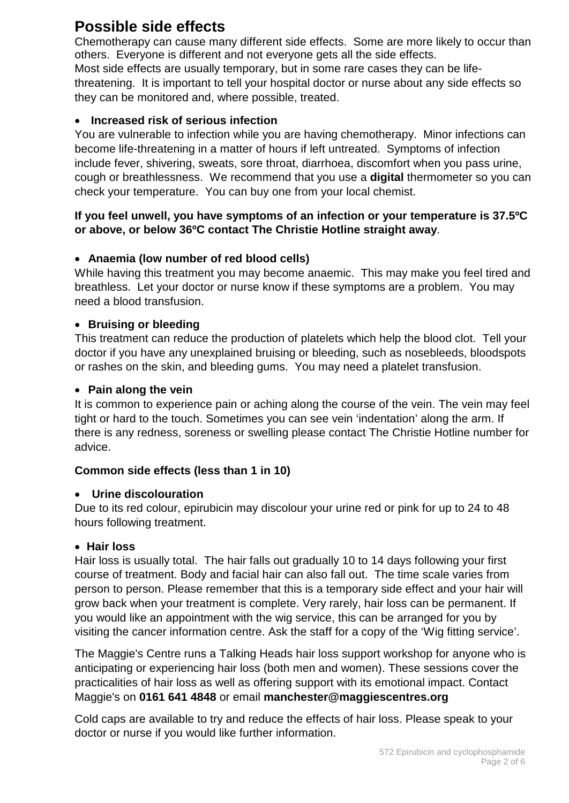# **Possible side effects**

Chemotherapy can cause many different side effects. Some are more likely to occur than others. Everyone is different and not everyone gets all the side effects. Most side effects are usually temporary, but in some rare cases they can be lifethreatening. It is important to tell your hospital doctor or nurse about any side effects so they can be monitored and, where possible, treated.

#### • **Increased risk of serious infection**

You are vulnerable to infection while you are having chemotherapy. Minor infections can become life-threatening in a matter of hours if left untreated. Symptoms of infection include fever, shivering, sweats, sore throat, diarrhoea, discomfort when you pass urine, cough or breathlessness. We recommend that you use a **digital** thermometer so you can check your temperature. You can buy one from your local chemist.

#### **If you feel unwell, you have symptoms of an infection or your temperature is 37.5ºC or above, or below 36ºC contact The Christie Hotline straight away**.

#### • **Anaemia (low number of red blood cells)**

While having this treatment you may become anaemic. This may make you feel tired and breathless. Let your doctor or nurse know if these symptoms are a problem. You may need a blood transfusion.

#### • **Bruising or bleeding**

This treatment can reduce the production of platelets which help the blood clot. Tell your doctor if you have any unexplained bruising or bleeding, such as nosebleeds, bloodspots or rashes on the skin, and bleeding gums. You may need a platelet transfusion.

#### • **Pain along the vein**

It is common to experience pain or aching along the course of the vein. The vein may feel tight or hard to the touch. Sometimes you can see vein 'indentation' along the arm. If there is any redness, soreness or swelling please contact The Christie Hotline number for advice.

#### **Common side effects (less than 1 in 10)**

#### • **Urine discolouration**

Due to its red colour, epirubicin may discolour your urine red or pink for up to 24 to 48 hours following treatment.

#### • **Hair loss**

Hair loss is usually total. The hair falls out gradually 10 to 14 days following your first course of treatment. Body and facial hair can also fall out. The time scale varies from person to person. Please remember that this is a temporary side effect and your hair will grow back when your treatment is complete. Very rarely, hair loss can be permanent. If you would like an appointment with the wig service, this can be arranged for you by visiting the cancer information centre. Ask the staff for a copy of the 'Wig fitting service'.

The Maggie's Centre runs a Talking Heads hair loss support workshop for anyone who is anticipating or experiencing hair loss (both men and women). These sessions cover the practicalities of hair loss as well as offering support with its emotional impact. Contact Maggie's on **0161 641 4848** or email **manchester@maggiescentres.org**

Cold caps are available to try and reduce the effects of hair loss. Please speak to your doctor or nurse if you would like further information.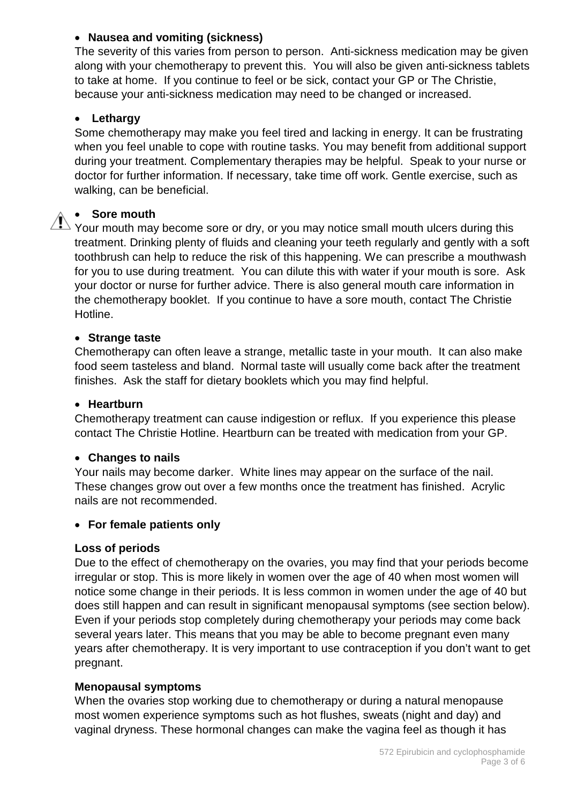#### • **Nausea and vomiting (sickness)**

The severity of this varies from person to person. Anti-sickness medication may be given along with your chemotherapy to prevent this. You will also be given anti-sickness tablets to take at home. If you continue to feel or be sick, contact your GP or The Christie, because your anti-sickness medication may need to be changed or increased.

#### • **Lethargy**

Some chemotherapy may make you feel tired and lacking in energy. It can be frustrating when you feel unable to cope with routine tasks. You may benefit from additional support during your treatment. Complementary therapies may be helpful. Speak to your nurse or doctor for further information. If necessary, take time off work. Gentle exercise, such as walking, can be beneficial.

#### • **Sore mouth**

 $\sqrt{N}$  Your mouth may become sore or dry, or you may notice small mouth ulcers during this treatment. Drinking plenty of fluids and cleaning your teeth regularly and gently with a soft toothbrush can help to reduce the risk of this happening. We can prescribe a mouthwash for you to use during treatment. You can dilute this with water if your mouth is sore. Ask your doctor or nurse for further advice. There is also general mouth care information in the chemotherapy booklet. If you continue to have a sore mouth, contact The Christie Hotline.

#### • **Strange taste**

Chemotherapy can often leave a strange, metallic taste in your mouth. It can also make food seem tasteless and bland. Normal taste will usually come back after the treatment finishes. Ask the staff for dietary booklets which you may find helpful.

#### • **Heartburn**

Chemotherapy treatment can cause indigestion or reflux. If you experience this please contact The Christie Hotline. Heartburn can be treated with medication from your GP.

#### • **Changes to nails**

Your nails may become darker. White lines may appear on the surface of the nail. These changes grow out over a few months once the treatment has finished. Acrylic nails are not recommended.

#### • **For female patients only**

#### **Loss of periods**

Due to the effect of chemotherapy on the ovaries, you may find that your periods become irregular or stop. This is more likely in women over the age of 40 when most women will notice some change in their periods. It is less common in women under the age of 40 but does still happen and can result in significant menopausal symptoms (see section below). Even if your periods stop completely during chemotherapy your periods may come back several years later. This means that you may be able to become pregnant even many years after chemotherapy. It is very important to use contraception if you don't want to get pregnant.

#### **Menopausal symptoms**

When the ovaries stop working due to chemotherapy or during a natural menopause most women experience symptoms such as hot flushes, sweats (night and day) and vaginal dryness. These hormonal changes can make the vagina feel as though it has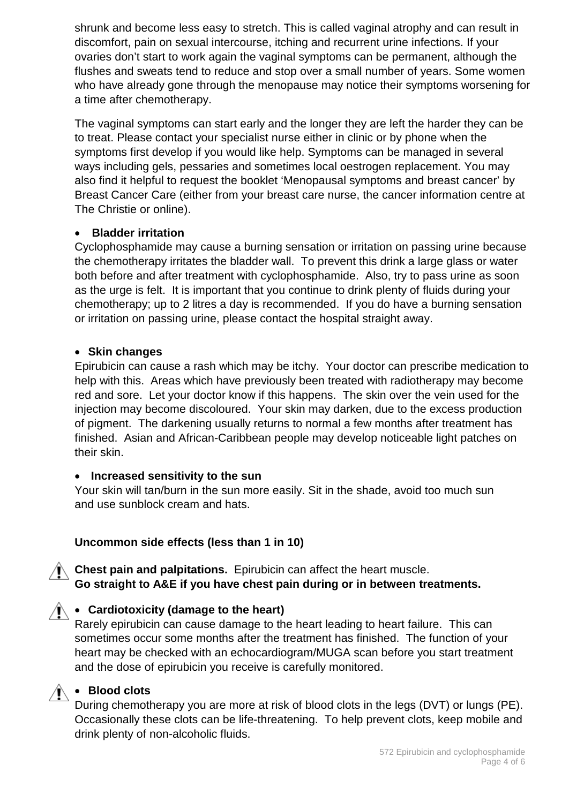shrunk and become less easy to stretch. This is called vaginal atrophy and can result in discomfort, pain on sexual intercourse, itching and recurrent urine infections. If your ovaries don't start to work again the vaginal symptoms can be permanent, although the flushes and sweats tend to reduce and stop over a small number of years. Some women who have already gone through the menopause may notice their symptoms worsening for a time after chemotherapy.

The vaginal symptoms can start early and the longer they are left the harder they can be to treat. Please contact your specialist nurse either in clinic or by phone when the symptoms first develop if you would like help. Symptoms can be managed in several ways including gels, pessaries and sometimes local oestrogen replacement. You may also find it helpful to request the booklet 'Menopausal symptoms and breast cancer' by Breast Cancer Care (either from your breast care nurse, the cancer information centre at The Christie or online).

#### • **Bladder irritation**

Cyclophosphamide may cause a burning sensation or irritation on passing urine because the chemotherapy irritates the bladder wall. To prevent this drink a large glass or water both before and after treatment with cyclophosphamide. Also, try to pass urine as soon as the urge is felt. It is important that you continue to drink plenty of fluids during your chemotherapy; up to 2 litres a day is recommended. If you do have a burning sensation or irritation on passing urine, please contact the hospital straight away.

#### • **Skin changes**

Epirubicin can cause a rash which may be itchy. Your doctor can prescribe medication to help with this. Areas which have previously been treated with radiotherapy may become red and sore. Let your doctor know if this happens. The skin over the vein used for the injection may become discoloured. Your skin may darken, due to the excess production of pigment. The darkening usually returns to normal a few months after treatment has finished. Asian and African-Caribbean people may develop noticeable light patches on their skin.

#### • **Increased sensitivity to the sun**

Your skin will tan/burn in the sun more easily. Sit in the shade, avoid too much sun and use sunblock cream and hats.

# **Uncommon side effects (less than 1 in 10)**

**Chest pain and palpitations.** Epirubicin can affect the heart muscle. **Go straight to A&E if you have chest pain during or in between treatments.**

# • **Cardiotoxicity (damage to the heart)**

Rarely epirubicin can cause damage to the heart leading to heart failure. This can sometimes occur some months after the treatment has finished. The function of your heart may be checked with an echocardiogram/MUGA scan before you start treatment and the dose of epirubicin you receive is carefully monitored.

# • **Blood clots**

During chemotherapy you are more at risk of blood clots in the legs (DVT) or lungs (PE). Occasionally these clots can be life-threatening. To help prevent clots, keep mobile and drink plenty of non-alcoholic fluids.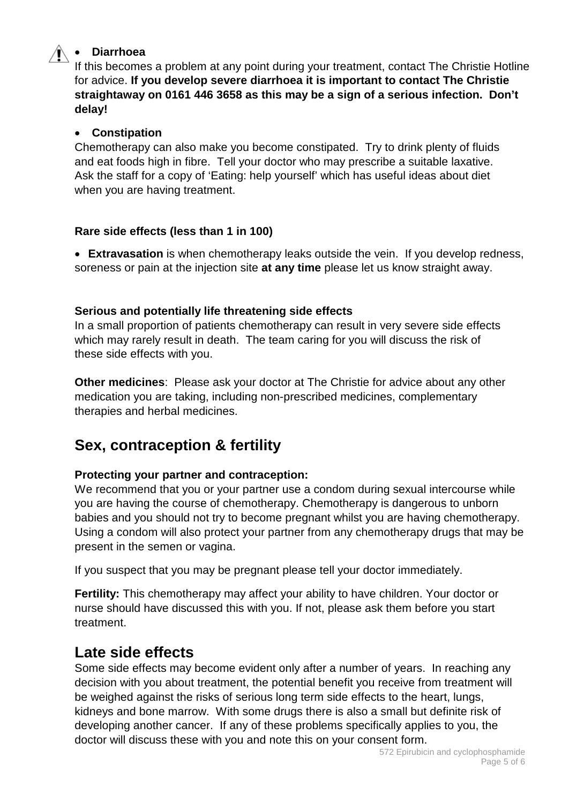# • **Diarrhoea**

If this becomes a problem at any point during your treatment, contact The Christie Hotline for advice. **If you develop severe diarrhoea it is important to contact The Christie straightaway on 0161 446 3658 as this may be a sign of a serious infection. Don't delay!**

#### • **Constipation**

Chemotherapy can also make you become constipated. Try to drink plenty of fluids and eat foods high in fibre. Tell your doctor who may prescribe a suitable laxative. Ask the staff for a copy of 'Eating: help yourself' which has useful ideas about diet when you are having treatment.

#### **Rare side effects (less than 1 in 100)**

• **Extravasation** is when chemotherapy leaks outside the vein. If you develop redness, soreness or pain at the injection site **at any time** please let us know straight away.

#### **Serious and potentially life threatening side effects**

In a small proportion of patients chemotherapy can result in very severe side effects which may rarely result in death. The team caring for you will discuss the risk of these side effects with you.

**Other medicines**: Please ask your doctor at The Christie for advice about any other medication you are taking, including non-prescribed medicines, complementary therapies and herbal medicines.

# **Sex, contraception & fertility**

# **Protecting your partner and contraception:**

We recommend that you or your partner use a condom during sexual intercourse while you are having the course of chemotherapy. Chemotherapy is dangerous to unborn babies and you should not try to become pregnant whilst you are having chemotherapy. Using a condom will also protect your partner from any chemotherapy drugs that may be present in the semen or vagina.

If you suspect that you may be pregnant please tell your doctor immediately.

**Fertility:** This chemotherapy may affect your ability to have children. Your doctor or nurse should have discussed this with you. If not, please ask them before you start treatment.

# **Late side effects**

Some side effects may become evident only after a number of years. In reaching any decision with you about treatment, the potential benefit you receive from treatment will be weighed against the risks of serious long term side effects to the heart, lungs, kidneys and bone marrow. With some drugs there is also a small but definite risk of developing another cancer. If any of these problems specifically applies to you, the doctor will discuss these with you and note this on your consent form.